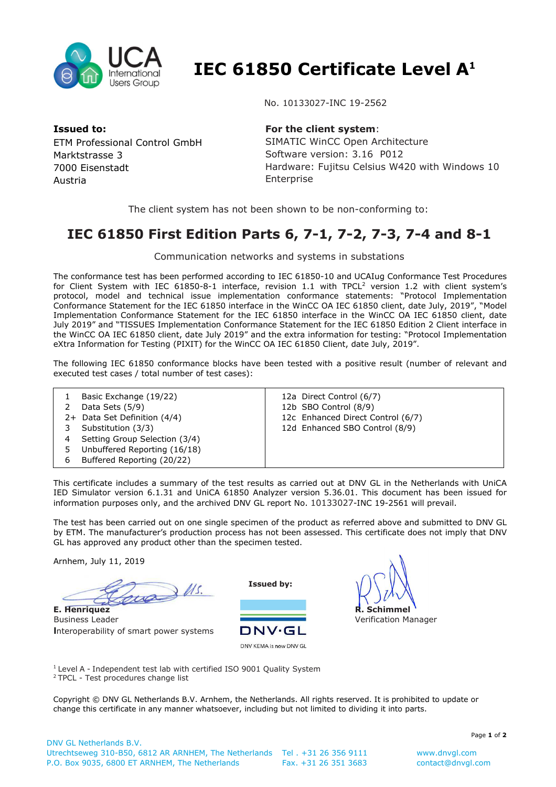

 **IEC 61850 Certificate Level A<sup>1</sup>**

**Issued to:**  ETM Professional Control GmbH Marktstrasse 3 7000 Eisenstadt Austria

## No. 10133027-INC 19-2562

## **For the client system**:

SIMATIC WinCC Open Architecture Software version: 3.16 P012 Hardware: Fujitsu Celsius W420 with Windows 10 Enterprise

The client system has not been shown to be non-conforming to:

## **IEC 61850 First Edition Parts 6, 7-1, 7-2, 7-3, 7-4 and 8-1**

Communication networks and systems in substations

The conformance test has been performed according to IEC 61850-10 and UCAIug Conformance Test Procedures for Client System with IEC 61850-8-1 interface, revision 1.1 with TPCL<sup>2</sup> version 1.2 with client system's protocol, model and technical issue implementation conformance statements: "Protocol Implementation Conformance Statement for the IEC 61850 interface in the WinCC OA IEC 61850 client, date July, 2019", "Model Implementation Conformance Statement for the IEC 61850 interface in the WinCC OA IEC 61850 client, date July 2019" and "TISSUES Implementation Conformance Statement for the IEC 61850 Edition 2 Client interface in the WinCC OA IEC 61850 client, date July 2019" and the extra information for testing: "Protocol Implementation eXtra Information for Testing (PIXIT) for the WinCC OA IEC 61850 Client, date July, 2019".

The following IEC 61850 conformance blocks have been tested with a positive result (number of relevant and executed test cases / total number of test cases):

|   | Basic Exchange (19/22)<br>Data Sets (5/9) | 12a Direct Control (6/7)<br>12b SBO Control (8/9) |
|---|-------------------------------------------|---------------------------------------------------|
|   |                                           |                                                   |
|   | 2+ Data Set Definition (4/4)              | 12c Enhanced Direct Control (6/7)                 |
|   | Substitution (3/3)                        | 12d Enhanced SBO Control (8/9)                    |
|   | Setting Group Selection (3/4)             |                                                   |
|   | Unbuffered Reporting (16/18)              |                                                   |
| 6 | Buffered Reporting (20/22)                |                                                   |

This certificate includes a summary of the test results as carried out at DNV GL in the Netherlands with UniCA IED Simulator version 6.1.31 and UniCA 61850 Analyzer version 5.36.01. This document has been issued for information purposes only, and the archived DNV GL report No. 10133027-INC 19-2561 will prevail.

The test has been carried out on one single specimen of the product as referred above and submitted to DNV GL by ETM. The manufacturer's production process has not been assessed. This certificate does not imply that DNV GL has approved any product other than the specimen tested.

Arnhem, July 11, 2019

us Us. **E. Henriquez**

Business Leader **I**nteroperability of smart power systems

**Issued by:** 



**R. Schimmel** Verification Manager

<sup>1</sup> Level A - Independent test lab with certified ISO 9001 Quality System <sup>2</sup> TPCL - Test procedures change list

Copyright © DNV GL Netherlands B.V. Arnhem, the Netherlands. All rights reserved. It is prohibited to update or change this certificate in any manner whatsoever, including but not limited to dividing it into parts.